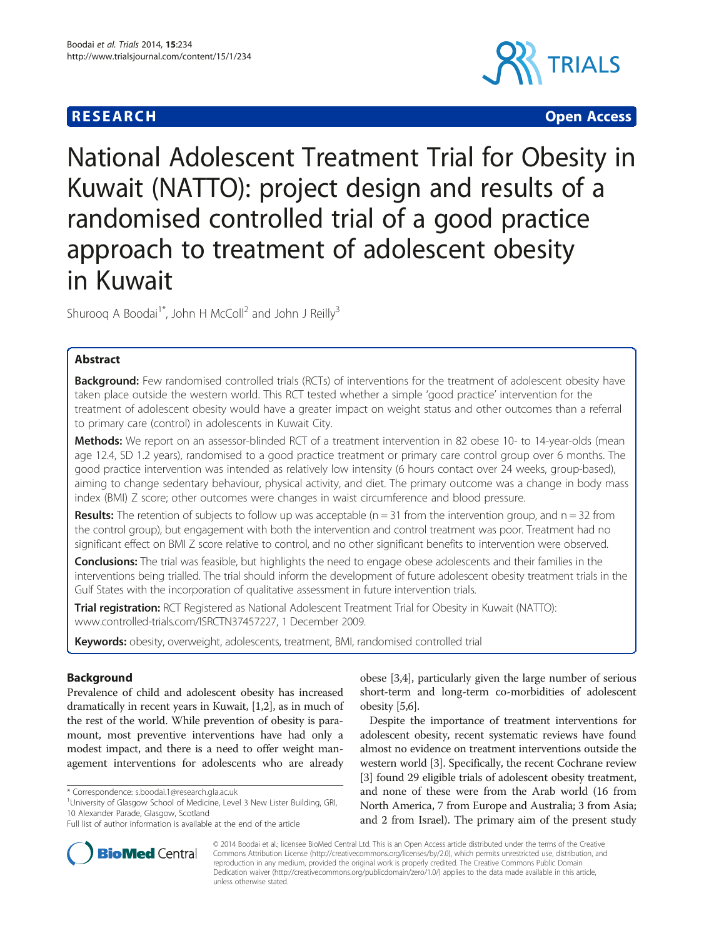## **RESEARCH CHILD CONTROL** CONTROL CONTROL CONTROL CONTROL CONTROL CONTROL CONTROL CONTROL CONTROL CONTROL CONTROL CONTROL CONTROL CONTROL CONTROL CONTROL CONTROL CONTROL CONTROL CONTROL CONTROL CONTROL CONTROL CONTROL CONTR



# National Adolescent Treatment Trial for Obesity in Kuwait (NATTO): project design and results of a randomised controlled trial of a good practice approach to treatment of adolescent obesity in Kuwait

Shurooq A Boodai<sup>1\*</sup>, John H McColl<sup>2</sup> and John J Reilly<sup>3</sup>

## Abstract

**Background:** Few randomised controlled trials (RCTs) of interventions for the treatment of adolescent obesity have taken place outside the western world. This RCT tested whether a simple 'good practice' intervention for the treatment of adolescent obesity would have a greater impact on weight status and other outcomes than a referral to primary care (control) in adolescents in Kuwait City.

Methods: We report on an assessor-blinded RCT of a treatment intervention in 82 obese 10- to 14-year-olds (mean age 12.4, SD 1.2 years), randomised to a good practice treatment or primary care control group over 6 months. The good practice intervention was intended as relatively low intensity (6 hours contact over 24 weeks, group-based), aiming to change sedentary behaviour, physical activity, and diet. The primary outcome was a change in body mass index (BMI) Z score; other outcomes were changes in waist circumference and blood pressure.

**Results:** The retention of subjects to follow up was acceptable  $(n = 31$  from the intervention group, and  $n = 32$  from the control group), but engagement with both the intervention and control treatment was poor. Treatment had no significant effect on BMI Z score relative to control, and no other significant benefits to intervention were observed.

Conclusions: The trial was feasible, but highlights the need to engage obese adolescents and their families in the interventions being trialled. The trial should inform the development of future adolescent obesity treatment trials in the Gulf States with the incorporation of qualitative assessment in future intervention trials.

Trial registration: RCT Registered as National Adolescent Treatment Trial for Obesity in Kuwait (NATTO): [www.controlled-trials.com/ISRCTN37457227,](http://www.controlled-trials.com/ISRCTN37457227) 1 December 2009.

Keywords: obesity, overweight, adolescents, treatment, BMI, randomised controlled trial

## Background

Prevalence of child and adolescent obesity has increased dramatically in recent years in Kuwait, [\[1,2\]](#page-5-0), as in much of the rest of the world. While prevention of obesity is paramount, most preventive interventions have had only a modest impact, and there is a need to offer weight management interventions for adolescents who are already

<sup>1</sup>University of Glasgow School of Medicine, Level 3 New Lister Building, GRI, 10 Alexander Parade, Glasgow, Scotland

obese [\[3,4](#page-5-0)], particularly given the large number of serious short-term and long-term co-morbidities of adolescent obesity [\[5,6\]](#page-5-0).

Despite the importance of treatment interventions for adolescent obesity, recent systematic reviews have found almost no evidence on treatment interventions outside the western world [\[3\]](#page-5-0). Specifically, the recent Cochrane review [[3\]](#page-5-0) found 29 eligible trials of adolescent obesity treatment, and none of these were from the Arab world (16 from North America, 7 from Europe and Australia; 3 from Asia; and 2 from Israel). The primary aim of the present study



© 2014 Boodai et al.; licensee BioMed Central Ltd. This is an Open Access article distributed under the terms of the Creative Commons Attribution License [\(http://creativecommons.org/licenses/by/2.0\)](http://creativecommons.org/licenses/by/2.0), which permits unrestricted use, distribution, and reproduction in any medium, provided the original work is properly credited. The Creative Commons Public Domain Dedication waiver [\(http://creativecommons.org/publicdomain/zero/1.0/](http://creativecommons.org/publicdomain/zero/1.0/)) applies to the data made available in this article, unless otherwise stated.

<sup>\*</sup> Correspondence: [s.boodai.1@research.gla.ac.uk](mailto:s.boodai.1@research.gla.ac.uk) <sup>1</sup>

Full list of author information is available at the end of the article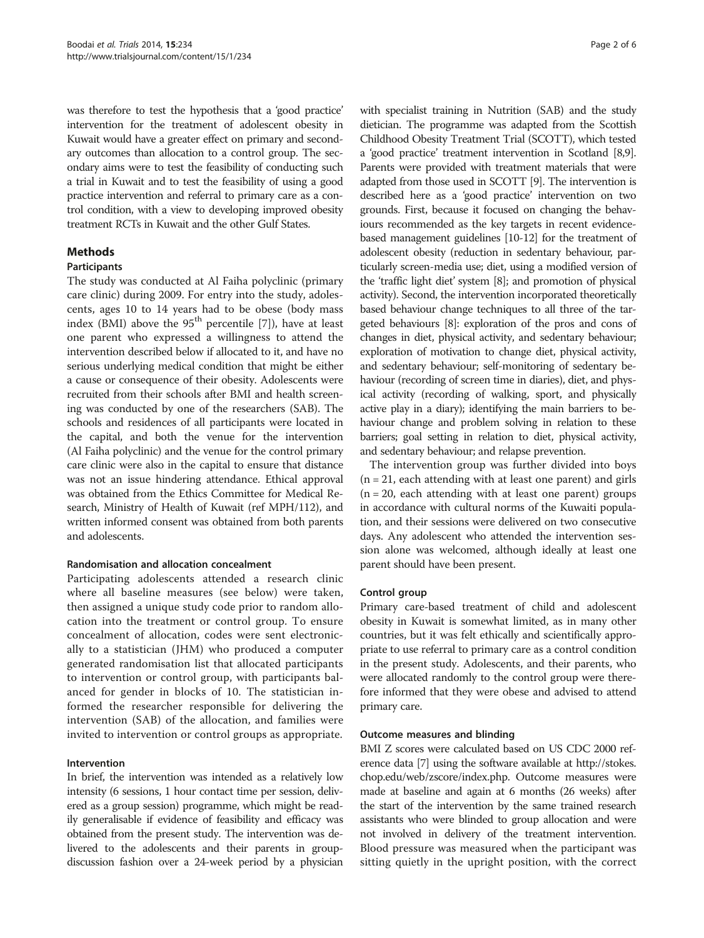was therefore to test the hypothesis that a 'good practice' intervention for the treatment of adolescent obesity in Kuwait would have a greater effect on primary and secondary outcomes than allocation to a control group. The secondary aims were to test the feasibility of conducting such a trial in Kuwait and to test the feasibility of using a good practice intervention and referral to primary care as a control condition, with a view to developing improved obesity treatment RCTs in Kuwait and the other Gulf States.

## Methods

#### Participants

The study was conducted at Al Faiha polyclinic (primary care clinic) during 2009. For entry into the study, adolescents, ages 10 to 14 years had to be obese (body mass index (BMI) above the  $95<sup>th</sup>$  percentile [[7\]](#page-5-0)), have at least one parent who expressed a willingness to attend the intervention described below if allocated to it, and have no serious underlying medical condition that might be either a cause or consequence of their obesity. Adolescents were recruited from their schools after BMI and health screening was conducted by one of the researchers (SAB). The schools and residences of all participants were located in the capital, and both the venue for the intervention (Al Faiha polyclinic) and the venue for the control primary care clinic were also in the capital to ensure that distance was not an issue hindering attendance. Ethical approval was obtained from the Ethics Committee for Medical Research, Ministry of Health of Kuwait (ref MPH/112), and written informed consent was obtained from both parents and adolescents.

## Randomisation and allocation concealment

Participating adolescents attended a research clinic where all baseline measures (see below) were taken, then assigned a unique study code prior to random allocation into the treatment or control group. To ensure concealment of allocation, codes were sent electronically to a statistician (JHM) who produced a computer generated randomisation list that allocated participants to intervention or control group, with participants balanced for gender in blocks of 10. The statistician informed the researcher responsible for delivering the intervention (SAB) of the allocation, and families were invited to intervention or control groups as appropriate.

#### Intervention

In brief, the intervention was intended as a relatively low intensity (6 sessions, 1 hour contact time per session, delivered as a group session) programme, which might be readily generalisable if evidence of feasibility and efficacy was obtained from the present study. The intervention was delivered to the adolescents and their parents in groupdiscussion fashion over a 24-week period by a physician

with specialist training in Nutrition (SAB) and the study dietician. The programme was adapted from the Scottish Childhood Obesity Treatment Trial (SCOTT), which tested a 'good practice' treatment intervention in Scotland [\[8,9](#page-5-0)]. Parents were provided with treatment materials that were adapted from those used in SCOTT [\[9](#page-5-0)]. The intervention is described here as a 'good practice' intervention on two grounds. First, because it focused on changing the behaviours recommended as the key targets in recent evidencebased management guidelines [\[10](#page-5-0)-[12](#page-5-0)] for the treatment of adolescent obesity (reduction in sedentary behaviour, particularly screen-media use; diet, using a modified version of the 'traffic light diet' system [\[8](#page-5-0)]; and promotion of physical activity). Second, the intervention incorporated theoretically based behaviour change techniques to all three of the targeted behaviours [\[8\]](#page-5-0): exploration of the pros and cons of changes in diet, physical activity, and sedentary behaviour; exploration of motivation to change diet, physical activity, and sedentary behaviour; self-monitoring of sedentary behaviour (recording of screen time in diaries), diet, and physical activity (recording of walking, sport, and physically active play in a diary); identifying the main barriers to behaviour change and problem solving in relation to these barriers; goal setting in relation to diet, physical activity, and sedentary behaviour; and relapse prevention.

The intervention group was further divided into boys  $(n = 21,$  each attending with at least one parent) and girls  $(n = 20,$  each attending with at least one parent) groups in accordance with cultural norms of the Kuwaiti population, and their sessions were delivered on two consecutive days. Any adolescent who attended the intervention session alone was welcomed, although ideally at least one parent should have been present.

#### Control group

Primary care-based treatment of child and adolescent obesity in Kuwait is somewhat limited, as in many other countries, but it was felt ethically and scientifically appropriate to use referral to primary care as a control condition in the present study. Adolescents, and their parents, who were allocated randomly to the control group were therefore informed that they were obese and advised to attend primary care.

#### Outcome measures and blinding

BMI Z scores were calculated based on US CDC 2000 reference data [[7](#page-5-0)] using the software available at [http://stokes.](http://stokes.chop.edu/web/zscore/index.php) [chop.edu/web/zscore/index.php.](http://stokes.chop.edu/web/zscore/index.php) Outcome measures were made at baseline and again at 6 months (26 weeks) after the start of the intervention by the same trained research assistants who were blinded to group allocation and were not involved in delivery of the treatment intervention. Blood pressure was measured when the participant was sitting quietly in the upright position, with the correct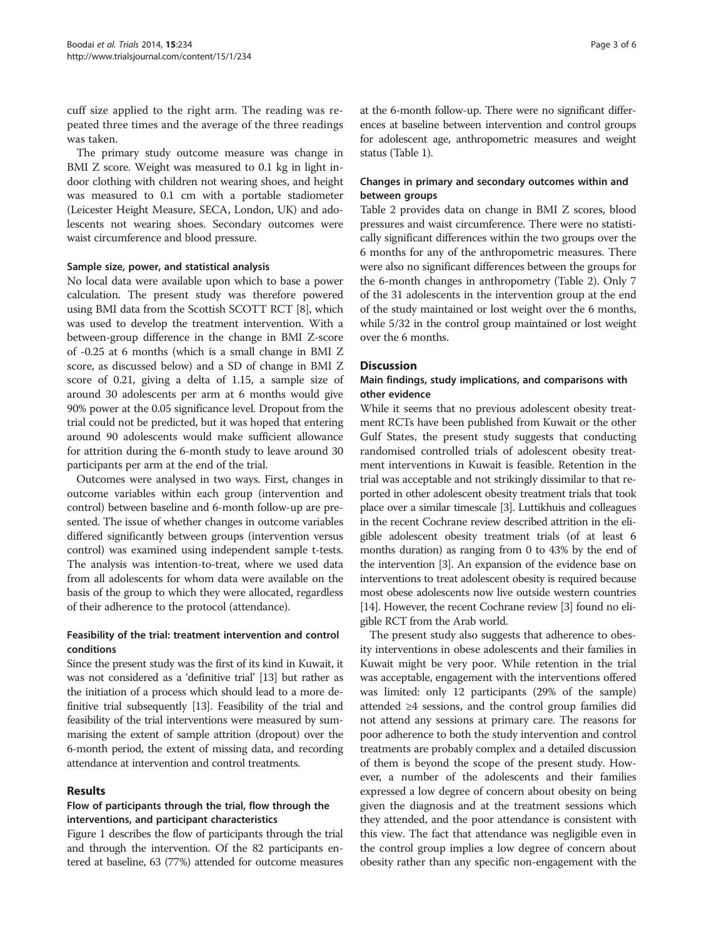cuff size applied to the right arm. The reading was repeated three times and the average of the three readings was taken.

The primary study outcome measure was change in BMI Z score. Weight was measured to 0.1 kg in light indoor clothing with children not wearing shoes, and height was measured to 0.1 cm with a portable stadiometer (Leicester Height Measure, SECA, London, UK) and adolescents not wearing shoes. Secondary outcomes were waist circumference and blood pressure.

#### Sample size, power, and statistical analysis

No local data were available upon which to base a power calculation. The present study was therefore powered using BMI data from the Scottish SCOTT RCT [[8\]](#page-5-0), which was used to develop the treatment intervention. With a between-group difference in the change in BMI Z-score of -0.25 at 6 months (which is a small change in BMI Z score, as discussed below) and a SD of change in BMI Z score of 0.21, giving a delta of 1.15, a sample size of around 30 adolescents per arm at 6 months would give 90% power at the 0.05 significance level. Dropout from the trial could not be predicted, but it was hoped that entering around 90 adolescents would make sufficient allowance for attrition during the 6-month study to leave around 30 participants per arm at the end of the trial.

Outcomes were analysed in two ways. First, changes in outcome variables within each group (intervention and control) between baseline and 6-month follow-up are presented. The issue of whether changes in outcome variables differed significantly between groups (intervention versus control) was examined using independent sample t-tests. The analysis was intention-to-treat, where we used data from all adolescents for whom data were available on the basis of the group to which they were allocated, regardless of their adherence to the protocol (attendance).

## Feasibility of the trial: treatment intervention and control conditions

Since the present study was the first of its kind in Kuwait, it was not considered as a 'definitive trial' [\[13\]](#page-5-0) but rather as the initiation of a process which should lead to a more definitive trial subsequently [\[13\]](#page-5-0). Feasibility of the trial and feasibility of the trial interventions were measured by summarising the extent of sample attrition (dropout) over the 6-month period, the extent of missing data, and recording attendance at intervention and control treatments.

### Results

## Flow of participants through the trial, flow through the interventions, and participant characteristics

Figure [1](#page-3-0) describes the flow of participants through the trial and through the intervention. Of the 82 participants entered at baseline, 63 (77%) attended for outcome measures

at the 6-month follow-up. There were no significant differences at baseline between intervention and control groups for adolescent age, anthropometric measures and weight status (Table [1](#page-3-0)).

## Changes in primary and secondary outcomes within and between groups

Table [2](#page-4-0) provides data on change in BMI Z scores, blood pressures and waist circumference. There were no statistically significant differences within the two groups over the 6 months for any of the anthropometric measures. There were also no significant differences between the groups for the 6-month changes in anthropometry (Table [2](#page-4-0)). Only 7 of the 31 adolescents in the intervention group at the end of the study maintained or lost weight over the 6 months, while 5/32 in the control group maintained or lost weight over the 6 months.

### **Discussion**

## Main findings, study implications, and comparisons with other evidence

While it seems that no previous adolescent obesity treatment RCTs have been published from Kuwait or the other Gulf States, the present study suggests that conducting randomised controlled trials of adolescent obesity treatment interventions in Kuwait is feasible. Retention in the trial was acceptable and not strikingly dissimilar to that reported in other adolescent obesity treatment trials that took place over a similar timescale [\[3\]](#page-5-0). Luttikhuis and colleagues in the recent Cochrane review described attrition in the eligible adolescent obesity treatment trials (of at least 6 months duration) as ranging from 0 to 43% by the end of the intervention [\[3\]](#page-5-0). An expansion of the evidence base on interventions to treat adolescent obesity is required because most obese adolescents now live outside western countries [[14](#page-5-0)]. However, the recent Cochrane review [\[3](#page-5-0)] found no eligible RCT from the Arab world.

The present study also suggests that adherence to obesity interventions in obese adolescents and their families in Kuwait might be very poor. While retention in the trial was acceptable, engagement with the interventions offered was limited: only 12 participants (29% of the sample) attended ≥4 sessions, and the control group families did not attend any sessions at primary care. The reasons for poor adherence to both the study intervention and control treatments are probably complex and a detailed discussion of them is beyond the scope of the present study. However, a number of the adolescents and their families expressed a low degree of concern about obesity on being given the diagnosis and at the treatment sessions which they attended, and the poor attendance is consistent with this view. The fact that attendance was negligible even in the control group implies a low degree of concern about obesity rather than any specific non-engagement with the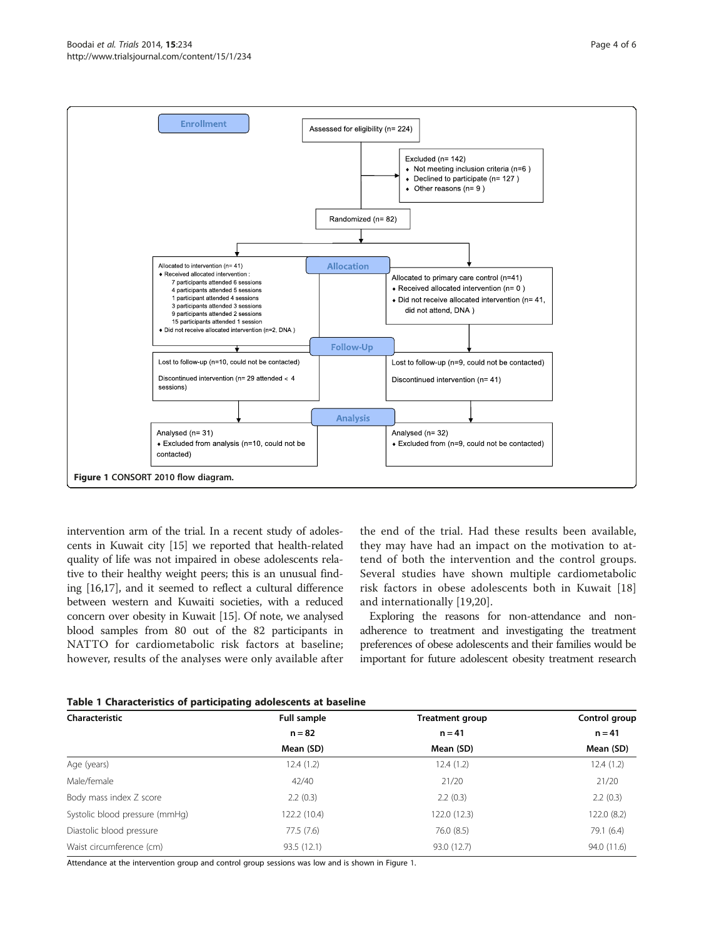<span id="page-3-0"></span>

intervention arm of the trial. In a recent study of adolescents in Kuwait city [\[15\]](#page-5-0) we reported that health-related quality of life was not impaired in obese adolescents relative to their healthy weight peers; this is an unusual finding [\[16,17](#page-5-0)], and it seemed to reflect a cultural difference between western and Kuwaiti societies, with a reduced concern over obesity in Kuwait [\[15](#page-5-0)]. Of note, we analysed blood samples from 80 out of the 82 participants in NATTO for cardiometabolic risk factors at baseline; however, results of the analyses were only available after

the end of the trial. Had these results been available, they may have had an impact on the motivation to attend of both the intervention and the control groups. Several studies have shown multiple cardiometabolic risk factors in obese adolescents both in Kuwait [\[18](#page-5-0)] and internationally [\[19](#page-5-0),[20\]](#page-5-0).

Exploring the reasons for non-attendance and nonadherence to treatment and investigating the treatment preferences of obese adolescents and their families would be important for future adolescent obesity treatment research

|  |  | Table 1 Characteristics of participating adolescents at baseline |  |  |  |  |  |
|--|--|------------------------------------------------------------------|--|--|--|--|--|
|--|--|------------------------------------------------------------------|--|--|--|--|--|

| Characteristic                 | Full sample  | <b>Treatment group</b> | Control group |  |
|--------------------------------|--------------|------------------------|---------------|--|
|                                | $n = 82$     | $n = 41$               | $n = 41$      |  |
|                                | Mean (SD)    | Mean (SD)              | Mean (SD)     |  |
| Age (years)                    | 12.4(1.2)    | 12.4(1.2)              | 12.4(1.2)     |  |
| Male/female                    | 42/40        | 21/20                  | 21/20         |  |
| Body mass index Z score        | 2.2(0.3)     | 2.2(0.3)               | 2.2(0.3)      |  |
| Systolic blood pressure (mmHq) | 122.2 (10.4) | 122.0(12.3)            | 122.0(8.2)    |  |
| Diastolic blood pressure       | 77.5(7.6)    | 76.0 (8.5)             | 79.1 (6.4)    |  |
| Waist circumference (cm)       | 93.5(12.1)   | 93.0 (12.7)            | 94.0 (11.6)   |  |

Attendance at the intervention group and control group sessions was low and is shown in Figure 1.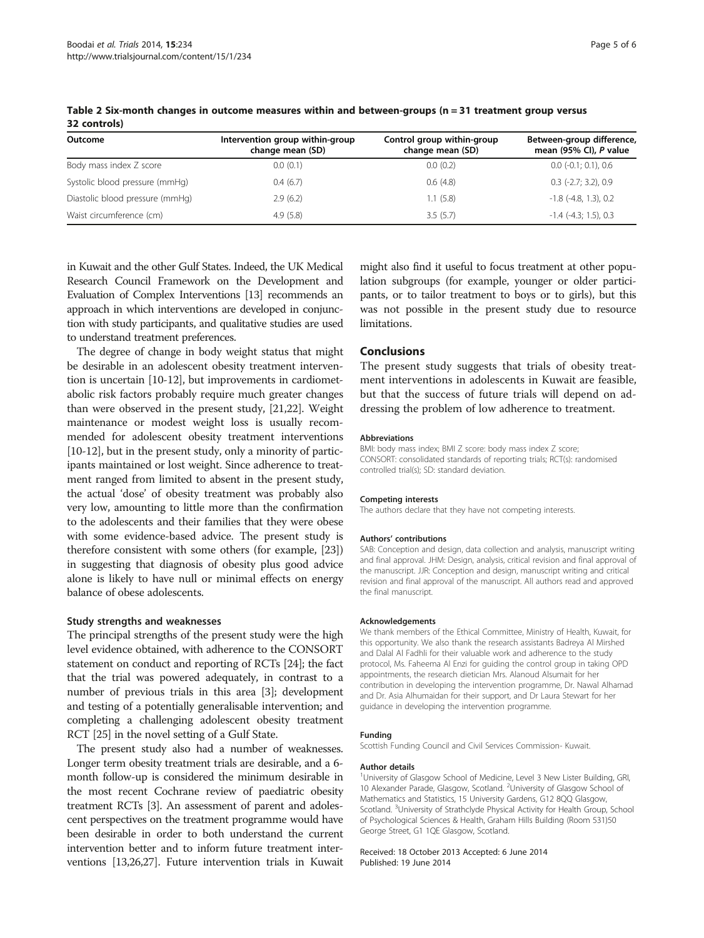| Outcome                         | Intervention group within-group<br>change mean (SD) | Control group within-group<br>change mean (SD) | Between-group difference,<br>mean (95% CI), P value |
|---------------------------------|-----------------------------------------------------|------------------------------------------------|-----------------------------------------------------|
| Body mass index Z score         | 0.0(0.1)                                            | 0.0(0.2)                                       | $0.0$ (-0.1; 0.1), 0.6                              |
| Systolic blood pressure (mmHq)  | 0.4(6.7)                                            | 0.6(4.8)                                       | $0.3$ (-2.7; 3.2), 0.9                              |
| Diastolic blood pressure (mmHg) | 2.9(6.2)                                            | 1.1(5.8)                                       | $-1.8$ ( $-4.8$ , 1.3), 0.2                         |
| Waist circumference (cm)        | 4.9(5.8)                                            | 3.5(5.7)                                       | $-1.4$ ( $-4.3$ ; 1.5), 0.3                         |

<span id="page-4-0"></span>Table 2 Six-month changes in outcome measures within and between-groups (n = 31 treatment group versus 32 controls)

in Kuwait and the other Gulf States. Indeed, the UK Medical Research Council Framework on the Development and Evaluation of Complex Interventions [\[13\]](#page-5-0) recommends an approach in which interventions are developed in conjunction with study participants, and qualitative studies are used to understand treatment preferences.

The degree of change in body weight status that might be desirable in an adolescent obesity treatment intervention is uncertain [[10](#page-5-0)-[12](#page-5-0)], but improvements in cardiometabolic risk factors probably require much greater changes than were observed in the present study, [\[21,22](#page-5-0)]. Weight maintenance or modest weight loss is usually recommended for adolescent obesity treatment interventions [[10](#page-5-0)-[12](#page-5-0)], but in the present study, only a minority of participants maintained or lost weight. Since adherence to treatment ranged from limited to absent in the present study, the actual 'dose' of obesity treatment was probably also very low, amounting to little more than the confirmation to the adolescents and their families that they were obese with some evidence-based advice. The present study is therefore consistent with some others (for example, [[23](#page-5-0)]) in suggesting that diagnosis of obesity plus good advice alone is likely to have null or minimal effects on energy balance of obese adolescents.

#### Study strengths and weaknesses

The principal strengths of the present study were the high level evidence obtained, with adherence to the CONSORT statement on conduct and reporting of RCTs [\[24\]](#page-5-0); the fact that the trial was powered adequately, in contrast to a number of previous trials in this area [\[3](#page-5-0)]; development and testing of a potentially generalisable intervention; and completing a challenging adolescent obesity treatment RCT [[25](#page-5-0)] in the novel setting of a Gulf State.

The present study also had a number of weaknesses. Longer term obesity treatment trials are desirable, and a 6 month follow-up is considered the minimum desirable in the most recent Cochrane review of paediatric obesity treatment RCTs [\[3](#page-5-0)]. An assessment of parent and adolescent perspectives on the treatment programme would have been desirable in order to both understand the current intervention better and to inform future treatment interventions [\[13,26,27\]](#page-5-0). Future intervention trials in Kuwait

might also find it useful to focus treatment at other population subgroups (for example, younger or older participants, or to tailor treatment to boys or to girls), but this was not possible in the present study due to resource limitations.

### **Conclusions**

The present study suggests that trials of obesity treatment interventions in adolescents in Kuwait are feasible, but that the success of future trials will depend on addressing the problem of low adherence to treatment.

#### Abbreviations

BMI: body mass index; BMI Z score: body mass index Z score; CONSORT: consolidated standards of reporting trials; RCT(s): randomised controlled trial(s); SD: standard deviation.

#### Competing interests

The authors declare that they have not competing interests.

#### Authors' contributions

SAB: Conception and design, data collection and analysis, manuscript writing and final approval. JHM: Design, analysis, critical revision and final approval of the manuscript. JJR: Conception and design, manuscript writing and critical revision and final approval of the manuscript. All authors read and approved the final manuscript.

#### Acknowledgements

We thank members of the Ethical Committee, Ministry of Health, Kuwait, for this opportunity. We also thank the research assistants Badreya Al Mirshed and Dalal Al Fadhli for their valuable work and adherence to the study protocol, Ms. Faheema Al Enzi for guiding the control group in taking OPD appointments, the research dietician Mrs. Alanoud Alsumait for her contribution in developing the intervention programme, Dr. Nawal Alhamad and Dr. Asia Alhumaidan for their support, and Dr Laura Stewart for her guidance in developing the intervention programme.

#### Funding

Scottish Funding Council and Civil Services Commission- Kuwait.

#### Author details

<sup>1</sup>University of Glasgow School of Medicine, Level 3 New Lister Building, GRI, 10 Alexander Parade, Glasgow, Scotland. <sup>2</sup>University of Glasgow School of Mathematics and Statistics, 15 University Gardens, G12 8QQ Glasgow, Scotland. <sup>3</sup>University of Strathclyde Physical Activity for Health Group, School of Psychological Sciences & Health, Graham Hills Building (Room 531)50 George Street, G1 1QE Glasgow, Scotland.

Received: 18 October 2013 Accepted: 6 June 2014 Published: 19 June 2014